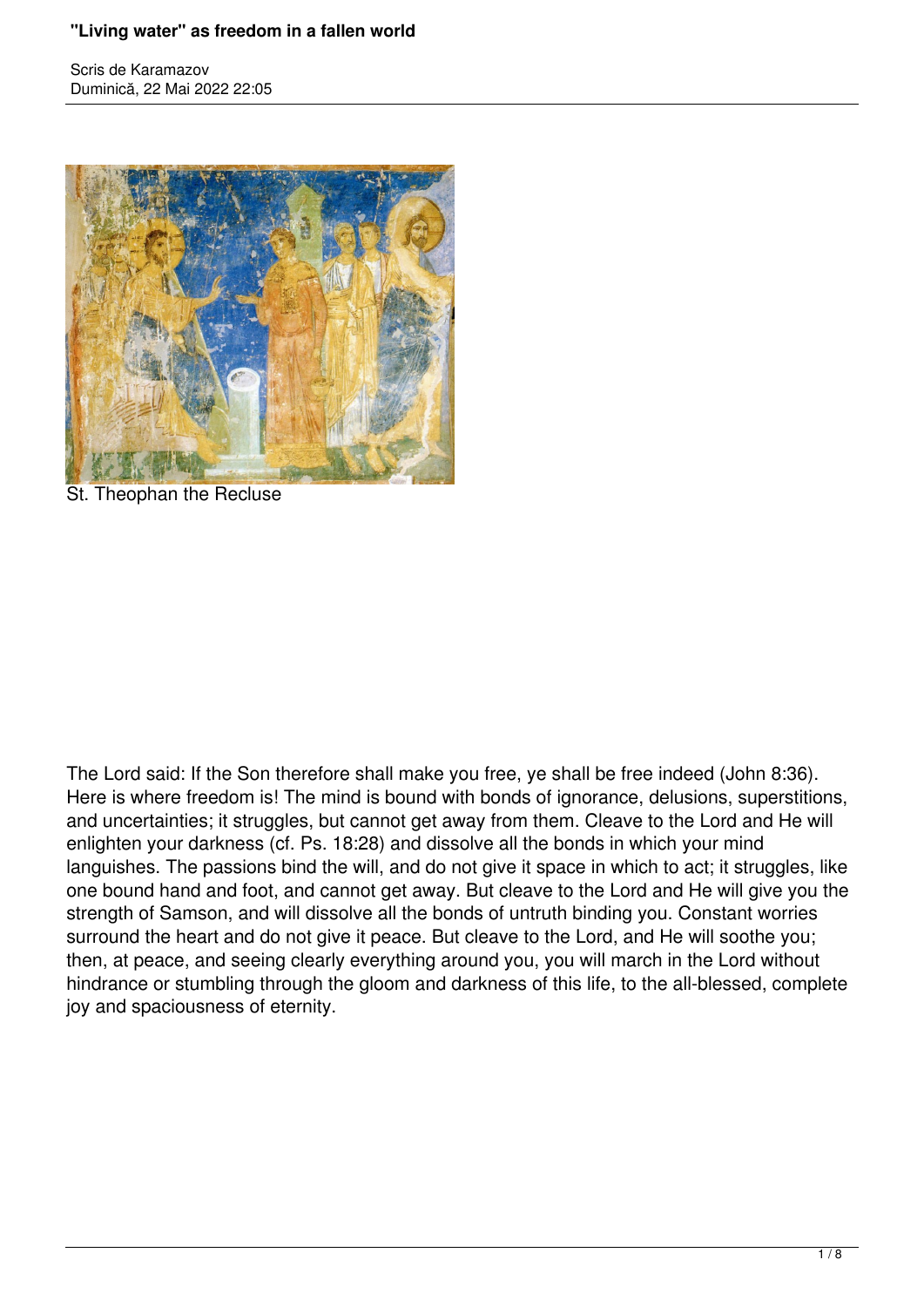## **"Living water" as freedom in a fallen world**

Scris de Karamazov Duminică, 22 Mai 2022 22:05



St. Theophan the Recluse

The Lord said: If the Son therefore shall make you free, ye shall be free indeed (John 8:36). Here is where freedom is! The mind is bound with bonds of ignorance, delusions, superstitions, and uncertainties; it struggles, but cannot get away from them. Cleave to the Lord and He will enlighten your darkness (cf. Ps. 18:28) and dissolve all the bonds in which your mind languishes. The passions bind the will, and do not give it space in which to act; it struggles, like one bound hand and foot, and cannot get away. But cleave to the Lord and He will give you the strength of Samson, and will dissolve all the bonds of untruth binding you. Constant worries surround the heart and do not give it peace. But cleave to the Lord, and He will soothe you; then, at peace, and seeing clearly everything around you, you will march in the Lord without hindrance or stumbling through the gloom and darkness of this life, to the all-blessed, complete joy and spaciousness of eternity.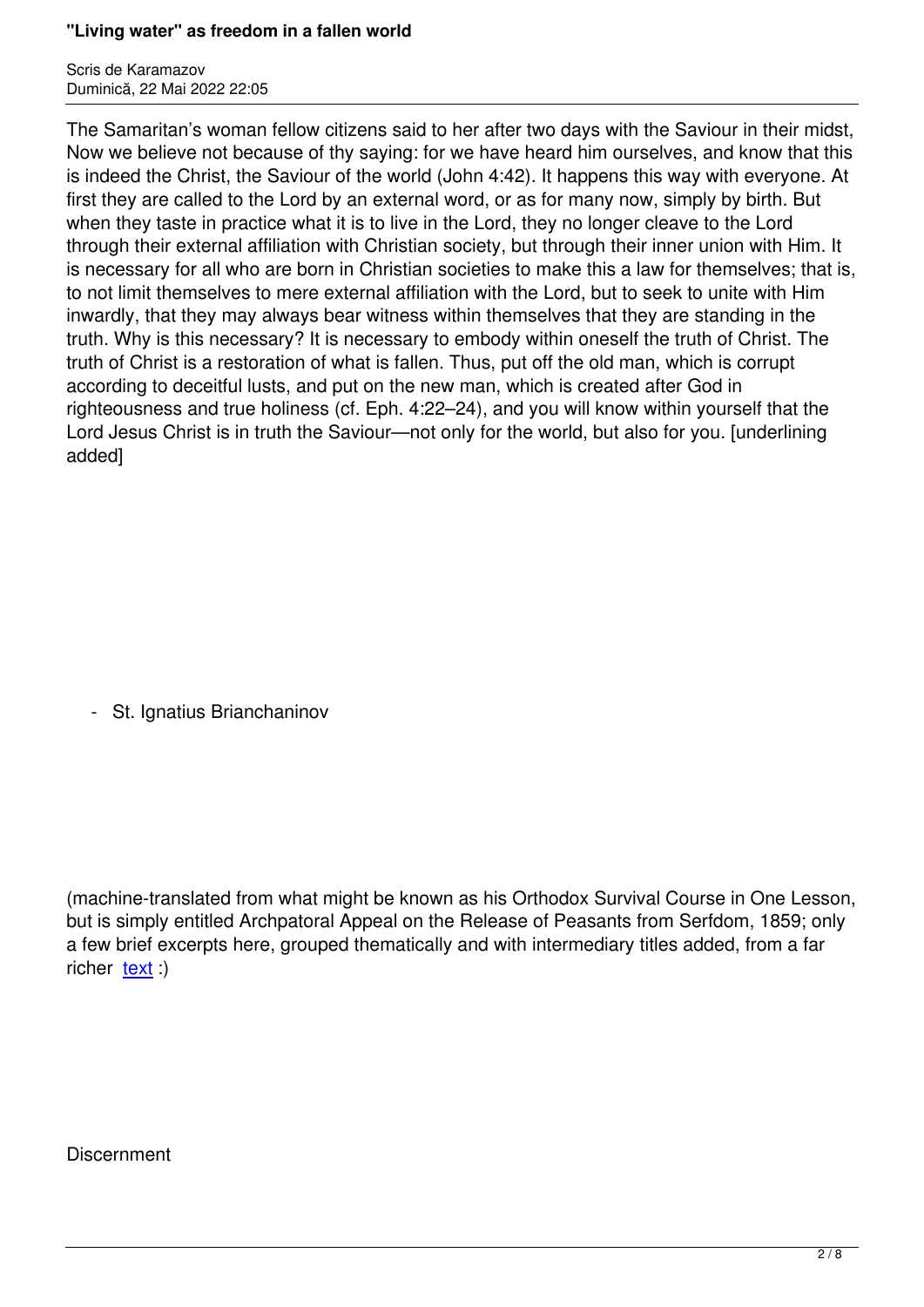The Samaritan's woman fellow citizens said to her after two days with the Saviour in their midst, Now we believe not because of thy saying: for we have heard him ourselves, and know that this is indeed the Christ, the Saviour of the world (John 4:42). It happens this way with everyone. At first they are called to the Lord by an external word, or as for many now, simply by birth. But when they taste in practice what it is to live in the Lord, they no longer cleave to the Lord through their external affiliation with Christian society, but through their inner union with Him. It is necessary for all who are born in Christian societies to make this a law for themselves; that is, to not limit themselves to mere external affiliation with the Lord, but to seek to unite with Him inwardly, that they may always bear witness within themselves that they are standing in the truth. Why is this necessary? It is necessary to embody within oneself the truth of Christ. The truth of Christ is a restoration of what is fallen. Thus, put off the old man, which is corrupt according to deceitful lusts, and put on the new man, which is created after God in righteousness and true holiness (cf. Eph. 4:22–24), and you will know within yourself that the Lord Jesus Christ is in truth the Saviour—not only for the world, but also for you. [underlining added]

- St. Ignatius Brianchaninov

(machine-translated from what might be known as his Orthodox Survival Course in One Lesson, but is simply entitled Archpatoral Appeal on the Release of Peasants from Serfdom, 1859; only a few brief excerpts here, grouped thematically and with intermediary titles added, from a far richer  $text{i}$ :)

**Discernment**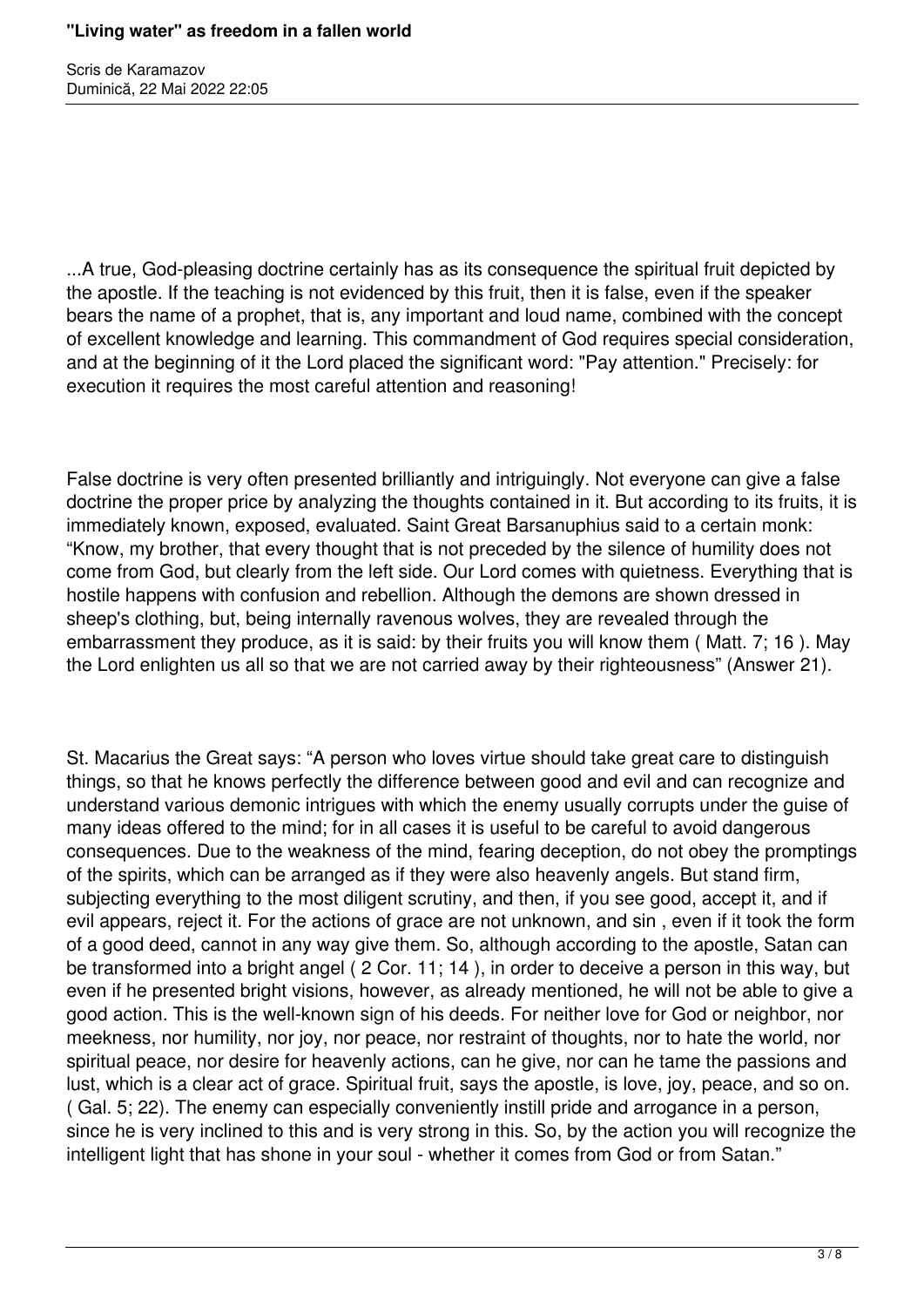...A true, God-pleasing doctrine certainly has as its consequence the spiritual fruit depicted by the apostle. If the teaching is not evidenced by this fruit, then it is false, even if the speaker bears the name of a prophet, that is, any important and loud name, combined with the concept of excellent knowledge and learning. This commandment of God requires special consideration, and at the beginning of it the Lord placed the significant word: "Pay attention." Precisely: for execution it requires the most careful attention and reasoning!

False doctrine is very often presented brilliantly and intriguingly. Not everyone can give a false doctrine the proper price by analyzing the thoughts contained in it. But according to its fruits, it is immediately known, exposed, evaluated. Saint Great Barsanuphius said to a certain monk: "Know, my brother, that every thought that is not preceded by the silence of humility does not come from God, but clearly from the left side. Our Lord comes with quietness. Everything that is hostile happens with confusion and rebellion. Although the demons are shown dressed in sheep's clothing, but, being internally ravenous wolves, they are revealed through the embarrassment they produce, as it is said: by their fruits you will know them ( Matt. 7; 16 ). May the Lord enlighten us all so that we are not carried away by their righteousness" (Answer 21).

St. Macarius the Great says: "A person who loves virtue should take great care to distinguish things, so that he knows perfectly the difference between good and evil and can recognize and understand various demonic intrigues with which the enemy usually corrupts under the guise of many ideas offered to the mind; for in all cases it is useful to be careful to avoid dangerous consequences. Due to the weakness of the mind, fearing deception, do not obey the promptings of the spirits, which can be arranged as if they were also heavenly angels. But stand firm, subjecting everything to the most diligent scrutiny, and then, if you see good, accept it, and if evil appears, reject it. For the actions of grace are not unknown, and sin , even if it took the form of a good deed, cannot in any way give them. So, although according to the apostle, Satan can be transformed into a bright angel ( 2 Cor. 11; 14 ), in order to deceive a person in this way, but even if he presented bright visions, however, as already mentioned, he will not be able to give a good action. This is the well-known sign of his deeds. For neither love for God or neighbor, nor meekness, nor humility, nor joy, nor peace, nor restraint of thoughts, nor to hate the world, nor spiritual peace, nor desire for heavenly actions, can he give, nor can he tame the passions and lust, which is a clear act of grace. Spiritual fruit, says the apostle, is love, joy, peace, and so on. ( Gal. 5; 22). The enemy can especially conveniently instill pride and arrogance in a person, since he is very inclined to this and is very strong in this. So, by the action you will recognize the intelligent light that has shone in your soul - whether it comes from God or from Satan."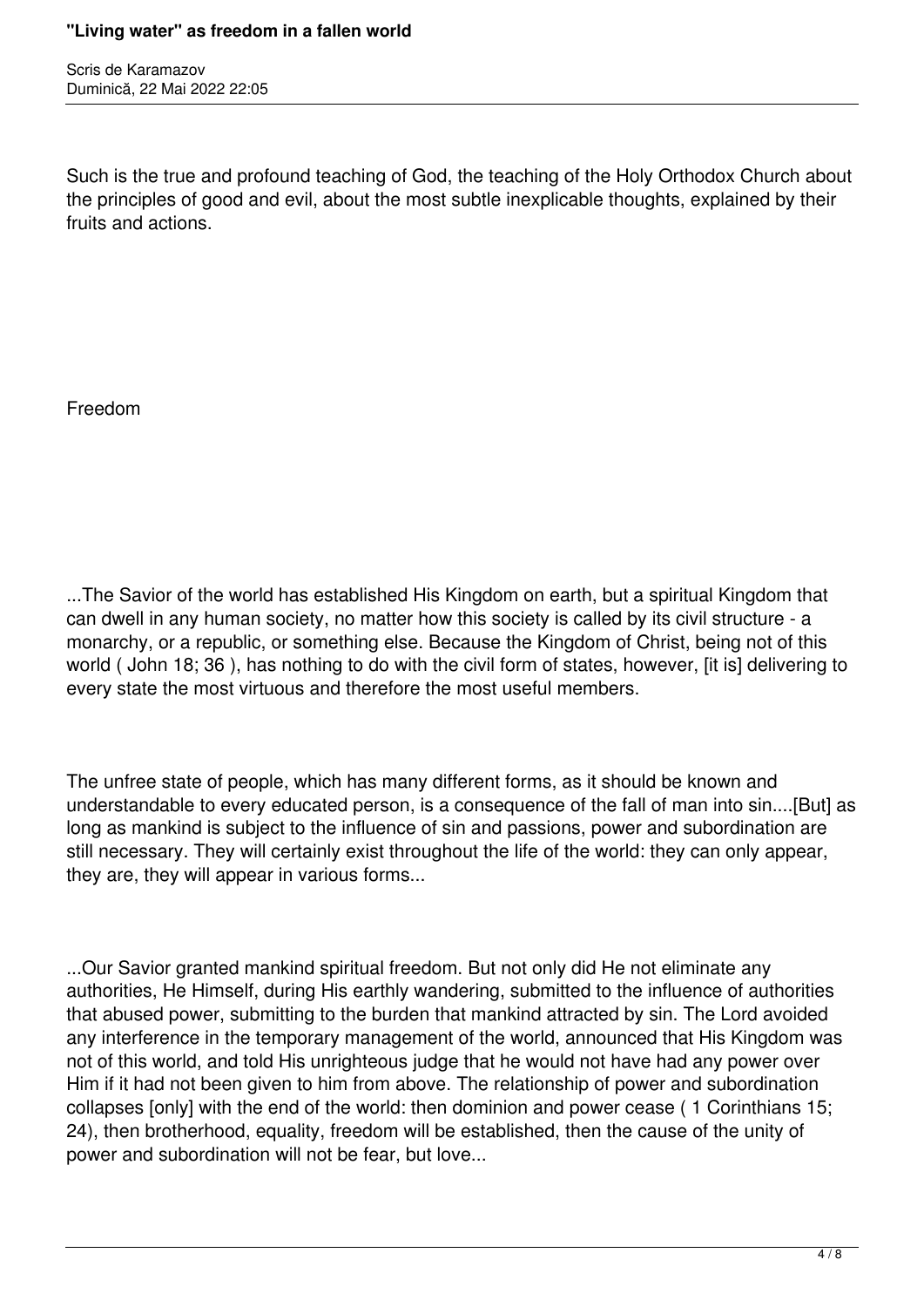Such is the true and profound teaching of God, the teaching of the Holy Orthodox Church about the principles of good and evil, about the most subtle inexplicable thoughts, explained by their fruits and actions.

Freedom

...The Savior of the world has established His Kingdom on earth, but a spiritual Kingdom that can dwell in any human society, no matter how this society is called by its civil structure - a monarchy, or a republic, or something else. Because the Kingdom of Christ, being not of this world ( John 18; 36 ), has nothing to do with the civil form of states, however, [it is] delivering to every state the most virtuous and therefore the most useful members.

The unfree state of people, which has many different forms, as it should be known and understandable to every educated person, is a consequence of the fall of man into sin....[But] as long as mankind is subject to the influence of sin and passions, power and subordination are still necessary. They will certainly exist throughout the life of the world: they can only appear, they are, they will appear in various forms...

...Our Savior granted mankind spiritual freedom. But not only did He not eliminate any authorities, He Himself, during His earthly wandering, submitted to the influence of authorities that abused power, submitting to the burden that mankind attracted by sin. The Lord avoided any interference in the temporary management of the world, announced that His Kingdom was not of this world, and told His unrighteous judge that he would not have had any power over Him if it had not been given to him from above. The relationship of power and subordination collapses [only] with the end of the world: then dominion and power cease ( 1 Corinthians 15; 24), then brotherhood, equality, freedom will be established, then the cause of the unity of power and subordination will not be fear, but love...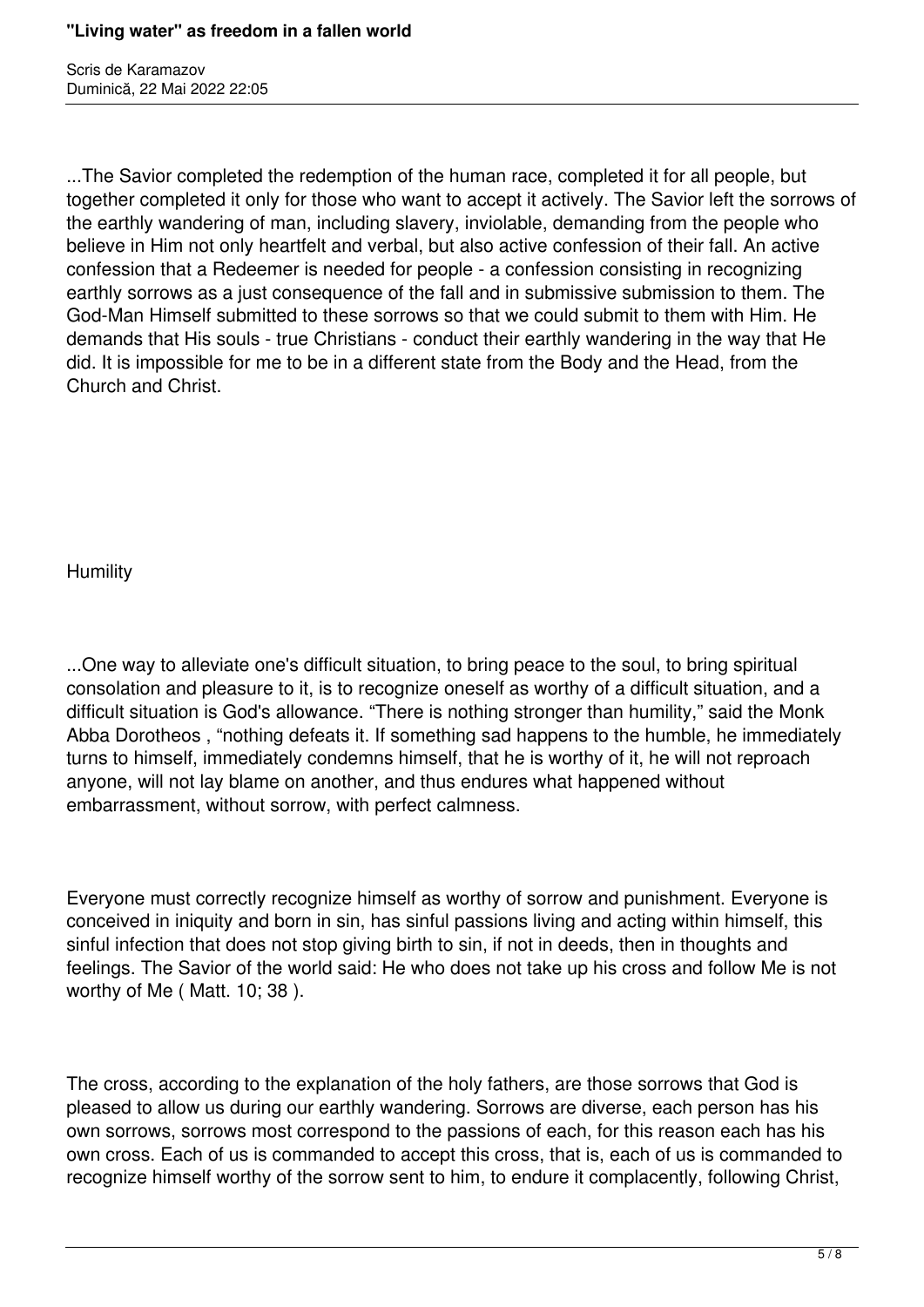...The Savior completed the redemption of the human race, completed it for all people, but together completed it only for those who want to accept it actively. The Savior left the sorrows of the earthly wandering of man, including slavery, inviolable, demanding from the people who believe in Him not only heartfelt and verbal, but also active confession of their fall. An active confession that a Redeemer is needed for people - a confession consisting in recognizing earthly sorrows as a just consequence of the fall and in submissive submission to them. The God-Man Himself submitted to these sorrows so that we could submit to them with Him. He demands that His souls - true Christians - conduct their earthly wandering in the way that He did. It is impossible for me to be in a different state from the Body and the Head, from the Church and Christ.

Humility

...One way to alleviate one's difficult situation, to bring peace to the soul, to bring spiritual consolation and pleasure to it, is to recognize oneself as worthy of a difficult situation, and a difficult situation is God's allowance. "There is nothing stronger than humility," said the Monk Abba Dorotheos , "nothing defeats it. If something sad happens to the humble, he immediately turns to himself, immediately condemns himself, that he is worthy of it, he will not reproach anyone, will not lay blame on another, and thus endures what happened without embarrassment, without sorrow, with perfect calmness.

Everyone must correctly recognize himself as worthy of sorrow and punishment. Everyone is conceived in iniquity and born in sin, has sinful passions living and acting within himself, this sinful infection that does not stop giving birth to sin, if not in deeds, then in thoughts and feelings. The Savior of the world said: He who does not take up his cross and follow Me is not worthy of Me ( Matt. 10; 38 ).

The cross, according to the explanation of the holy fathers, are those sorrows that God is pleased to allow us during our earthly wandering. Sorrows are diverse, each person has his own sorrows, sorrows most correspond to the passions of each, for this reason each has his own cross. Each of us is commanded to accept this cross, that is, each of us is commanded to recognize himself worthy of the sorrow sent to him, to endure it complacently, following Christ,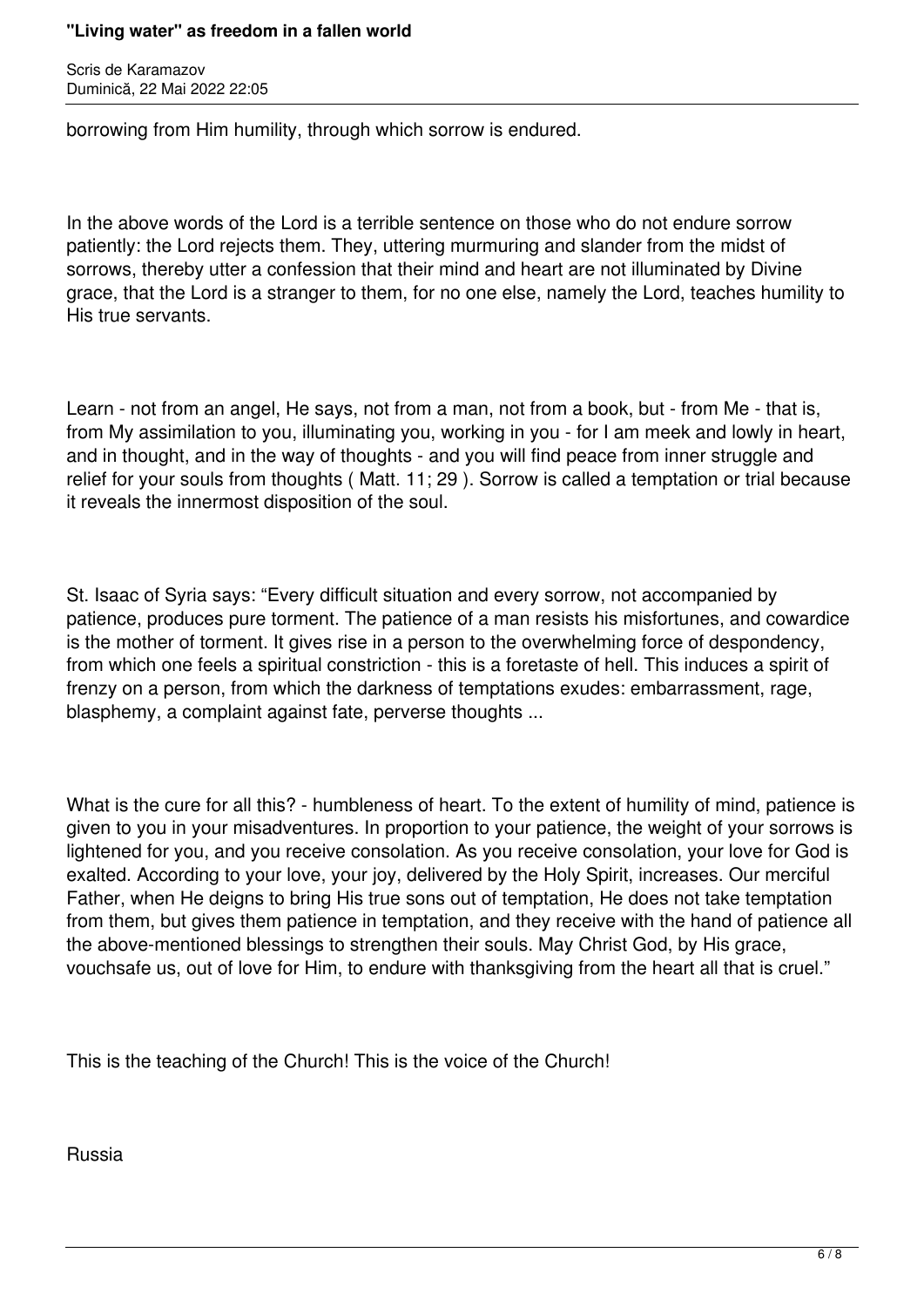## **"Living water" as freedom in a fallen world**

Scris de Karamazov Duminică, 22 Mai 2022 22:05

borrowing from Him humility, through which sorrow is endured.

In the above words of the Lord is a terrible sentence on those who do not endure sorrow patiently: the Lord rejects them. They, uttering murmuring and slander from the midst of sorrows, thereby utter a confession that their mind and heart are not illuminated by Divine grace, that the Lord is a stranger to them, for no one else, namely the Lord, teaches humility to His true servants.

Learn - not from an angel, He says, not from a man, not from a book, but - from Me - that is, from My assimilation to you, illuminating you, working in you - for I am meek and lowly in heart, and in thought, and in the way of thoughts - and you will find peace from inner struggle and relief for your souls from thoughts ( Matt. 11; 29 ). Sorrow is called a temptation or trial because it reveals the innermost disposition of the soul.

St. Isaac of Syria says: "Every difficult situation and every sorrow, not accompanied by patience, produces pure torment. The patience of a man resists his misfortunes, and cowardice is the mother of torment. It gives rise in a person to the overwhelming force of despondency, from which one feels a spiritual constriction - this is a foretaste of hell. This induces a spirit of frenzy on a person, from which the darkness of temptations exudes: embarrassment, rage, blasphemy, a complaint against fate, perverse thoughts ...

What is the cure for all this? - humbleness of heart. To the extent of humility of mind, patience is given to you in your misadventures. In proportion to your patience, the weight of your sorrows is lightened for you, and you receive consolation. As you receive consolation, your love for God is exalted. According to your love, your joy, delivered by the Holy Spirit, increases. Our merciful Father, when He deigns to bring His true sons out of temptation, He does not take temptation from them, but gives them patience in temptation, and they receive with the hand of patience all the above-mentioned blessings to strengthen their souls. May Christ God, by His grace, vouchsafe us, out of love for Him, to endure with thanksgiving from the heart all that is cruel."

This is the teaching of the Church! This is the voice of the Church!

Russia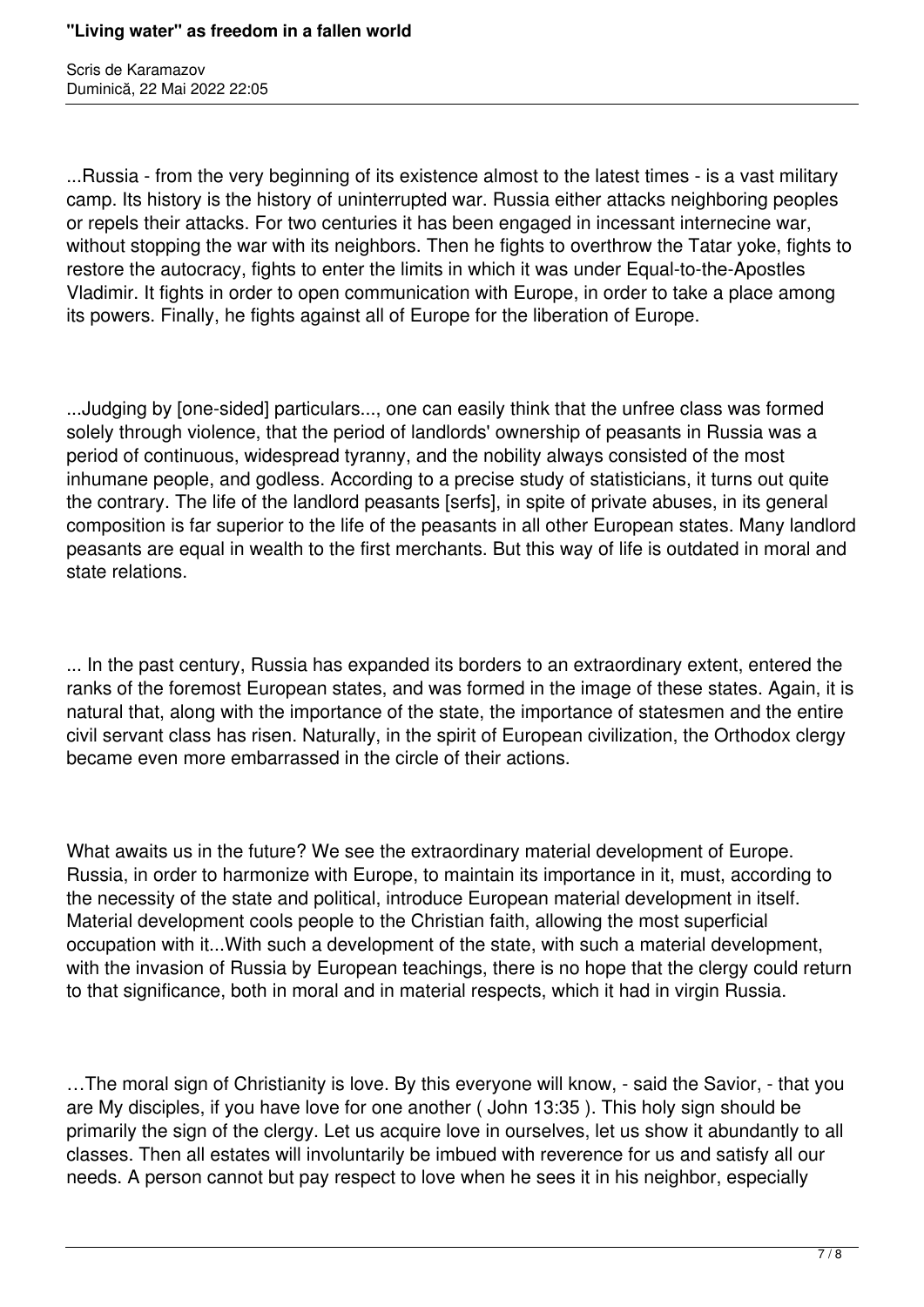...Russia - from the very beginning of its existence almost to the latest times - is a vast military camp. Its history is the history of uninterrupted war. Russia either attacks neighboring peoples or repels their attacks. For two centuries it has been engaged in incessant internecine war, without stopping the war with its neighbors. Then he fights to overthrow the Tatar yoke, fights to restore the autocracy, fights to enter the limits in which it was under Equal-to-the-Apostles Vladimir. It fights in order to open communication with Europe, in order to take a place among its powers. Finally, he fights against all of Europe for the liberation of Europe.

...Judging by [one-sided] particulars..., one can easily think that the unfree class was formed solely through violence, that the period of landlords' ownership of peasants in Russia was a period of continuous, widespread tyranny, and the nobility always consisted of the most inhumane people, and godless. According to a precise study of statisticians, it turns out quite the contrary. The life of the landlord peasants [serfs], in spite of private abuses, in its general composition is far superior to the life of the peasants in all other European states. Many landlord peasants are equal in wealth to the first merchants. But this way of life is outdated in moral and state relations.

... In the past century, Russia has expanded its borders to an extraordinary extent, entered the ranks of the foremost European states, and was formed in the image of these states. Again, it is natural that, along with the importance of the state, the importance of statesmen and the entire civil servant class has risen. Naturally, in the spirit of European civilization, the Orthodox clergy became even more embarrassed in the circle of their actions.

What awaits us in the future? We see the extraordinary material development of Europe. Russia, in order to harmonize with Europe, to maintain its importance in it, must, according to the necessity of the state and political, introduce European material development in itself. Material development cools people to the Christian faith, allowing the most superficial occupation with it...With such a development of the state, with such a material development, with the invasion of Russia by European teachings, there is no hope that the clergy could return to that significance, both in moral and in material respects, which it had in virgin Russia.

…The moral sign of Christianity is love. By this everyone will know, - said the Savior, - that you are My disciples, if you have love for one another ( John 13:35 ). This holy sign should be primarily the sign of the clergy. Let us acquire love in ourselves, let us show it abundantly to all classes. Then all estates will involuntarily be imbued with reverence for us and satisfy all our needs. A person cannot but pay respect to love when he sees it in his neighbor, especially